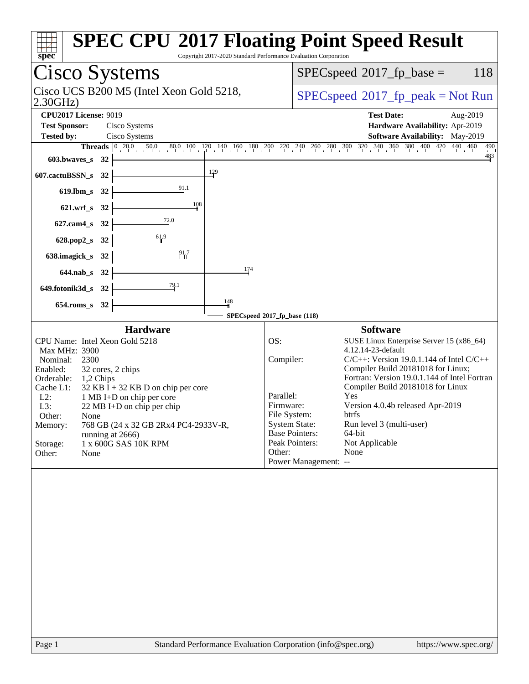| <b>Cisco Systems</b><br>118<br>$SPEC speed^{\circ}2017\_fp\_base =$<br>Cisco UCS B200 M5 (Intel Xeon Gold 5218,<br>$SPEC speed^{\circ}2017\_fp\_peak = Not Run$<br>2.30GHz<br><b>CPU2017 License: 9019</b><br><b>Test Date:</b><br>Aug-2019<br><b>Test Sponsor:</b><br>Cisco Systems<br>Hardware Availability: Apr-2019<br>Software Availability: May-2019<br><b>Tested by:</b><br>Cisco Systems<br><b>Threads</b> $\begin{bmatrix} 0 & 20.0 & 50.0 & 80.0 & 100 & 120 & 140 & 160 & 180 & 200 & 240 & 260 & 280 & 300 & 320 & 340 & 360 & 380 & 400 & 420 & 440 & 460 \end{bmatrix}$<br>$\frac{483}{4}$<br>603.bwaves_s $32$ $\vdash$<br>$\frac{129}{2}$<br>$607$ .cactuBSSN_s 32<br>619.lbm_s 32 $\begin{array}{ c c }\n & 32 \\ \hline\n\end{array}$<br>$\frac{108}{1}$<br>$621.wrf_s$ $32$<br>627.cam4_s 32 $\overline{ )}$ 72.0<br>628.pop2_s 32 $\frac{61.9}{1}$<br>638.imagick_s 32 $\frac{91.7}{1.1}$<br>174<br>$644.nab_s$ 32 $\overline{\qquad \qquad }$<br>649.fotonik3d_s 32 $\frac{79.1}{1}$<br>148<br>$654$ .roms_s 32<br>SPECspeed®2017_fp_base (118)<br><b>Hardware</b><br><b>Software</b><br>CPU Name: Intel Xeon Gold 5218<br>OS:<br>SUSE Linux Enterprise Server 15 (x86_64)<br>4.12.14-23-default<br>Max MHz: 3900<br>Compiler:<br>$C/C++$ : Version 19.0.1.144 of Intel $C/C++$<br>Nominal:<br>2300<br>Compiler Build 20181018 for Linux;<br>Enabled:<br>32 cores, 2 chips<br>Fortran: Version 19.0.1.144 of Intel Fortran<br>Orderable: 1,2 Chips<br>Compiler Build 20181018 for Linux<br>Cache L1:<br>$32$ KB I + 32 KB D on chip per core<br>Parallel:<br>Yes<br>$L2$ :<br>1 MB I+D on chip per core<br>Firmware:<br>Version 4.0.4b released Apr-2019<br>L3:<br>22 MB I+D on chip per chip<br>File System:<br>btrfs<br>Other:<br>None<br><b>System State:</b><br>Run level 3 (multi-user)<br>768 GB (24 x 32 GB 2Rx4 PC4-2933V-R,<br>Memory:<br><b>Base Pointers:</b><br>64-bit<br>running at 2666)<br>Peak Pointers:<br>Not Applicable<br>Storage:<br>1 x 600G SAS 10K RPM<br>None<br>Other:<br>Other:<br>None<br>Power Management: -- | Copyright 2017-2020 Standard Performance Evaluation Corporation<br>spec | <b>SPEC CPU®2017 Floating Point Speed Result</b> |
|-----------------------------------------------------------------------------------------------------------------------------------------------------------------------------------------------------------------------------------------------------------------------------------------------------------------------------------------------------------------------------------------------------------------------------------------------------------------------------------------------------------------------------------------------------------------------------------------------------------------------------------------------------------------------------------------------------------------------------------------------------------------------------------------------------------------------------------------------------------------------------------------------------------------------------------------------------------------------------------------------------------------------------------------------------------------------------------------------------------------------------------------------------------------------------------------------------------------------------------------------------------------------------------------------------------------------------------------------------------------------------------------------------------------------------------------------------------------------------------------------------------------------------------------------------------------------------------------------------------------------------------------------------------------------------------------------------------------------------------------------------------------------------------------------------------------------------------------------------------------------------------------------------------------------------------------------------------------------------------------------------------------------------------------------------------------|-------------------------------------------------------------------------|--------------------------------------------------|
|                                                                                                                                                                                                                                                                                                                                                                                                                                                                                                                                                                                                                                                                                                                                                                                                                                                                                                                                                                                                                                                                                                                                                                                                                                                                                                                                                                                                                                                                                                                                                                                                                                                                                                                                                                                                                                                                                                                                                                                                                                                                 |                                                                         |                                                  |
|                                                                                                                                                                                                                                                                                                                                                                                                                                                                                                                                                                                                                                                                                                                                                                                                                                                                                                                                                                                                                                                                                                                                                                                                                                                                                                                                                                                                                                                                                                                                                                                                                                                                                                                                                                                                                                                                                                                                                                                                                                                                 |                                                                         |                                                  |
|                                                                                                                                                                                                                                                                                                                                                                                                                                                                                                                                                                                                                                                                                                                                                                                                                                                                                                                                                                                                                                                                                                                                                                                                                                                                                                                                                                                                                                                                                                                                                                                                                                                                                                                                                                                                                                                                                                                                                                                                                                                                 |                                                                         |                                                  |
|                                                                                                                                                                                                                                                                                                                                                                                                                                                                                                                                                                                                                                                                                                                                                                                                                                                                                                                                                                                                                                                                                                                                                                                                                                                                                                                                                                                                                                                                                                                                                                                                                                                                                                                                                                                                                                                                                                                                                                                                                                                                 |                                                                         | 490                                              |
|                                                                                                                                                                                                                                                                                                                                                                                                                                                                                                                                                                                                                                                                                                                                                                                                                                                                                                                                                                                                                                                                                                                                                                                                                                                                                                                                                                                                                                                                                                                                                                                                                                                                                                                                                                                                                                                                                                                                                                                                                                                                 |                                                                         |                                                  |
| Standard Performance Evaluation Corporation (info@spec.org)<br>Page 1<br>https://www.spec.org/                                                                                                                                                                                                                                                                                                                                                                                                                                                                                                                                                                                                                                                                                                                                                                                                                                                                                                                                                                                                                                                                                                                                                                                                                                                                                                                                                                                                                                                                                                                                                                                                                                                                                                                                                                                                                                                                                                                                                                  |                                                                         |                                                  |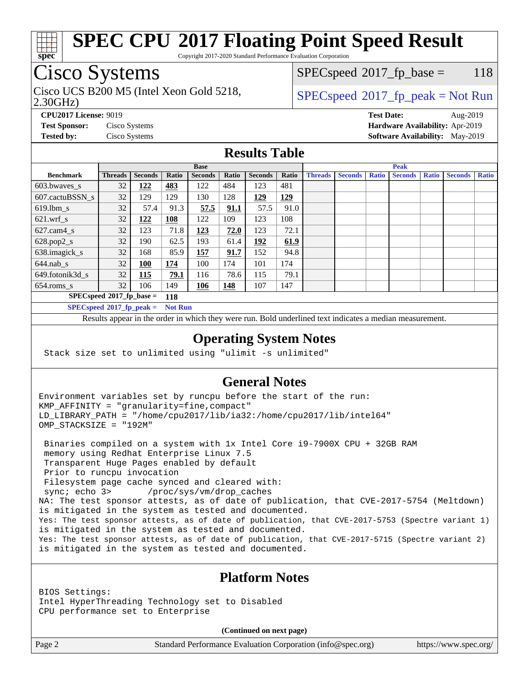

Copyright 2017-2020 Standard Performance Evaluation Corporation

# Cisco Systems

2.30GHz) Cisco UCS B200 M5 (Intel Xeon Gold 5218,  $SPECspeed^{\circ}2017\_fp\_peak = Not Run$  $SPECspeed^{\circ}2017\_fp\_peak = Not Run$ 

 $SPECspeed^{\circledcirc}2017_fp\_base = 118$  $SPECspeed^{\circledcirc}2017_fp\_base = 118$ 

**[CPU2017 License:](http://www.spec.org/auto/cpu2017/Docs/result-fields.html#CPU2017License)** 9019 **[Test Date:](http://www.spec.org/auto/cpu2017/Docs/result-fields.html#TestDate)** Aug-2019 **[Test Sponsor:](http://www.spec.org/auto/cpu2017/Docs/result-fields.html#TestSponsor)** Cisco Systems **[Hardware Availability:](http://www.spec.org/auto/cpu2017/Docs/result-fields.html#HardwareAvailability)** Apr-2019 **[Tested by:](http://www.spec.org/auto/cpu2017/Docs/result-fields.html#Testedby)** Cisco Systems **[Software Availability:](http://www.spec.org/auto/cpu2017/Docs/result-fields.html#SoftwareAvailability)** May-2019

### **[Results Table](http://www.spec.org/auto/cpu2017/Docs/result-fields.html#ResultsTable)**

|                             |                             |                |            | <b>Base</b>    |       |                |       | <b>Peak</b>    |                |              |                |              |                |              |
|-----------------------------|-----------------------------|----------------|------------|----------------|-------|----------------|-------|----------------|----------------|--------------|----------------|--------------|----------------|--------------|
| <b>Benchmark</b>            | <b>Threads</b>              | <b>Seconds</b> | Ratio      | <b>Seconds</b> | Ratio | <b>Seconds</b> | Ratio | <b>Threads</b> | <b>Seconds</b> | <b>Ratio</b> | <b>Seconds</b> | <b>Ratio</b> | <b>Seconds</b> | <b>Ratio</b> |
| $603.bwaves$ s              | 32                          | 122            | 483        | 122            | 484   | 123            | 481   |                |                |              |                |              |                |              |
| 607.cactuBSSN s             | 32                          | 129            | 129        | 130            | 128   | 129            | 129   |                |                |              |                |              |                |              |
| $619.1$ bm s                | 32                          | 57.4           | 91.3       | 57.5           | 91.1  | 57.5           | 91.0  |                |                |              |                |              |                |              |
| $621.wrf$ s                 | 32                          | <u>122</u>     | <u>108</u> | 122            | 109   | 123            | 108   |                |                |              |                |              |                |              |
| $627$ .cam $4 \text{ s}$    | 32                          | 123            | 71.8       | 123            | 72.0  | 123            | 72.1  |                |                |              |                |              |                |              |
| $628.pop2_s$                | 32                          | 190            | 62.5       | 193            | 61.4  | 192            | 61.9  |                |                |              |                |              |                |              |
| 638.imagick_s               | 32                          | 168            | 85.9       | 157            | 91.7  | 152            | 94.8  |                |                |              |                |              |                |              |
| $644$ .nab s                | 32                          | <u>100</u>     | <u>174</u> | 100            | 174   | 101            | 174   |                |                |              |                |              |                |              |
| 649.fotonik3d s             | 32                          | <b>115</b>     | 79.1       | 116            | 78.6  | 115            | 79.1  |                |                |              |                |              |                |              |
| $654$ .roms s               | 32                          | 106            | 149        | 106            | 148   | 107            | 147   |                |                |              |                |              |                |              |
|                             | $SPECspeed*2017_fp\_base =$ |                | 118        |                |       |                |       |                |                |              |                |              |                |              |
| $SPECspeed*2017_fp\_peak =$ |                             |                |            | <b>Not Run</b> |       |                |       |                |                |              |                |              |                |              |

Results appear in the [order in which they were run.](http://www.spec.org/auto/cpu2017/Docs/result-fields.html#RunOrder) Bold underlined text [indicates a median measurement](http://www.spec.org/auto/cpu2017/Docs/result-fields.html#Median).

#### **[Operating System Notes](http://www.spec.org/auto/cpu2017/Docs/result-fields.html#OperatingSystemNotes)**

Stack size set to unlimited using "ulimit -s unlimited"

### **[General Notes](http://www.spec.org/auto/cpu2017/Docs/result-fields.html#GeneralNotes)**

Environment variables set by runcpu before the start of the run: KMP\_AFFINITY = "granularity=fine,compact" LD\_LIBRARY\_PATH = "/home/cpu2017/lib/ia32:/home/cpu2017/lib/intel64" OMP\_STACKSIZE = "192M"

 Binaries compiled on a system with 1x Intel Core i9-7900X CPU + 32GB RAM memory using Redhat Enterprise Linux 7.5 Transparent Huge Pages enabled by default Prior to runcpu invocation Filesystem page cache synced and cleared with: sync; echo 3> /proc/sys/vm/drop\_caches NA: The test sponsor attests, as of date of publication, that CVE-2017-5754 (Meltdown) is mitigated in the system as tested and documented. Yes: The test sponsor attests, as of date of publication, that CVE-2017-5753 (Spectre variant 1) is mitigated in the system as tested and documented. Yes: The test sponsor attests, as of date of publication, that CVE-2017-5715 (Spectre variant 2) is mitigated in the system as tested and documented.

### **[Platform Notes](http://www.spec.org/auto/cpu2017/Docs/result-fields.html#PlatformNotes)**

BIOS Settings: Intel HyperThreading Technology set to Disabled CPU performance set to Enterprise

**(Continued on next page)**

Page 2 Standard Performance Evaluation Corporation [\(info@spec.org\)](mailto:info@spec.org) <https://www.spec.org/>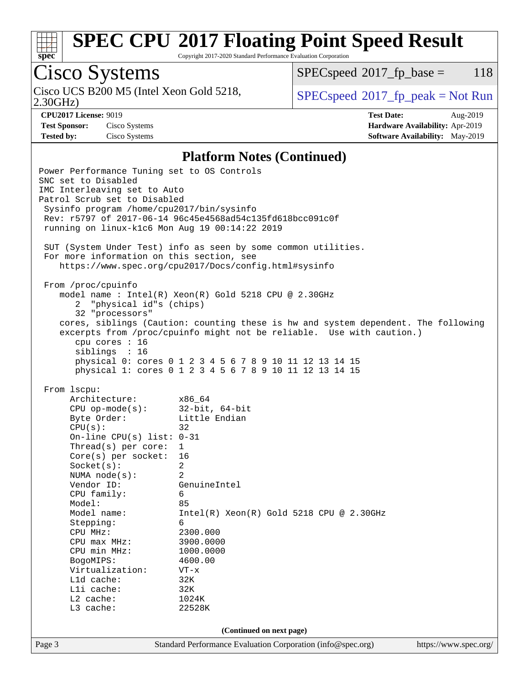

Copyright 2017-2020 Standard Performance Evaluation Corporation

# Cisco Systems

Cisco UCS B200 M5 (Intel Xeon Gold 5218,<br>2.30GHz)

 $SPECspeed^{\circ}2017\_fp\_base = 118$  $SPECspeed^{\circ}2017\_fp\_base = 118$ 

 $SPEC speed^{\circ}2017\_fp\_peak = Not Run$ 

**[CPU2017 License:](http://www.spec.org/auto/cpu2017/Docs/result-fields.html#CPU2017License)** 9019 **[Test Date:](http://www.spec.org/auto/cpu2017/Docs/result-fields.html#TestDate)** Aug-2019 **[Test Sponsor:](http://www.spec.org/auto/cpu2017/Docs/result-fields.html#TestSponsor)** Cisco Systems **[Hardware Availability:](http://www.spec.org/auto/cpu2017/Docs/result-fields.html#HardwareAvailability)** Apr-2019 **[Tested by:](http://www.spec.org/auto/cpu2017/Docs/result-fields.html#Testedby)** Cisco Systems **[Software Availability:](http://www.spec.org/auto/cpu2017/Docs/result-fields.html#SoftwareAvailability)** May-2019

#### **[Platform Notes \(Continued\)](http://www.spec.org/auto/cpu2017/Docs/result-fields.html#PlatformNotes)**

Page 3 Standard Performance Evaluation Corporation [\(info@spec.org\)](mailto:info@spec.org) <https://www.spec.org/> Power Performance Tuning set to OS Controls SNC set to Disabled IMC Interleaving set to Auto Patrol Scrub set to Disabled Sysinfo program /home/cpu2017/bin/sysinfo Rev: r5797 of 2017-06-14 96c45e4568ad54c135fd618bcc091c0f running on linux-k1c6 Mon Aug 19 00:14:22 2019 SUT (System Under Test) info as seen by some common utilities. For more information on this section, see <https://www.spec.org/cpu2017/Docs/config.html#sysinfo> From /proc/cpuinfo model name : Intel(R) Xeon(R) Gold 5218 CPU @ 2.30GHz 2 "physical id"s (chips) 32 "processors" cores, siblings (Caution: counting these is hw and system dependent. The following excerpts from /proc/cpuinfo might not be reliable. Use with caution.) cpu cores : 16 siblings : 16 physical 0: cores 0 1 2 3 4 5 6 7 8 9 10 11 12 13 14 15 physical 1: cores 0 1 2 3 4 5 6 7 8 9 10 11 12 13 14 15 From lscpu: Architecture: x86\_64 CPU op-mode(s): 32-bit, 64-bit Byte Order: Little Endian  $CPU(s):$  32 On-line CPU(s) list: 0-31 Thread(s) per core: 1 Core(s) per socket: 16 Socket(s): 2 NUMA node(s): 2 Vendor ID: GenuineIntel CPU family: 6 Model: 85 Model name: Intel(R) Xeon(R) Gold 5218 CPU @ 2.30GHz Stepping: 6 CPU MHz: 2300.000 CPU max MHz: 3900.0000 CPU min MHz: 1000.0000 BogoMIPS: 4600.00 Virtualization: VT-x L1d cache: 32K<br>
L1i cache: 32K  $L1i$  cache: L2 cache: 1024K L3 cache: 22528K **(Continued on next page)**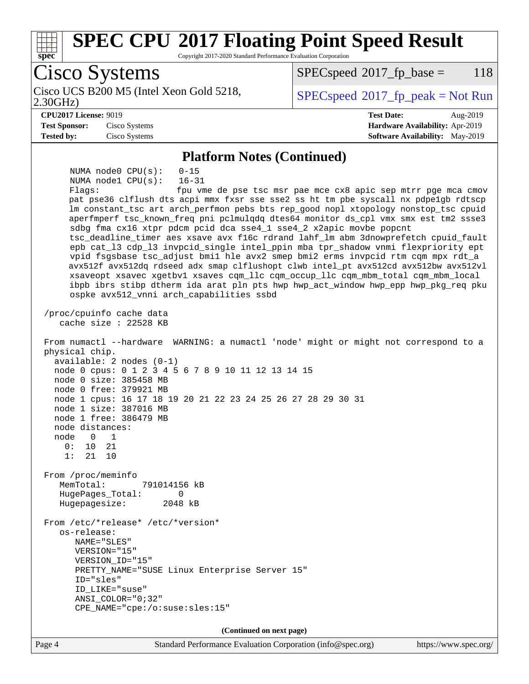

 $SPECspeed^{\circ}2017\_fp\_base = 118$  $SPECspeed^{\circ}2017\_fp\_base = 118$ 

2.30GHz) Cisco UCS B200 M5 (Intel Xeon Gold 5218,  $SPECspeed^{\circ}2017\_fp\_peak = Not Run$  $SPECspeed^{\circ}2017\_fp\_peak = Not Run$ 

#### **[CPU2017 License:](http://www.spec.org/auto/cpu2017/Docs/result-fields.html#CPU2017License)** 9019 **[Test Date:](http://www.spec.org/auto/cpu2017/Docs/result-fields.html#TestDate)** Aug-2019

**[Test Sponsor:](http://www.spec.org/auto/cpu2017/Docs/result-fields.html#TestSponsor)** Cisco Systems **[Hardware Availability:](http://www.spec.org/auto/cpu2017/Docs/result-fields.html#HardwareAvailability)** Apr-2019 **[Tested by:](http://www.spec.org/auto/cpu2017/Docs/result-fields.html#Testedby)** Cisco Systems **[Software Availability:](http://www.spec.org/auto/cpu2017/Docs/result-fields.html#SoftwareAvailability)** May-2019

#### **[Platform Notes \(Continued\)](http://www.spec.org/auto/cpu2017/Docs/result-fields.html#PlatformNotes)**

 NUMA node0 CPU(s): 0-15 NUMA node1 CPU(s): 16-31 Flags: fpu vme de pse tsc msr pae mce cx8 apic sep mtrr pge mca cmov pat pse36 clflush dts acpi mmx fxsr sse sse2 ss ht tm pbe syscall nx pdpe1gb rdtscp lm constant\_tsc art arch\_perfmon pebs bts rep\_good nopl xtopology nonstop\_tsc cpuid aperfmperf tsc\_known\_freq pni pclmulqdq dtes64 monitor ds\_cpl vmx smx est tm2 ssse3 sdbg fma cx16 xtpr pdcm pcid dca sse4\_1 sse4\_2 x2apic movbe popcnt tsc\_deadline\_timer aes xsave avx f16c rdrand lahf\_lm abm 3dnowprefetch cpuid\_fault epb cat\_l3 cdp\_l3 invpcid\_single intel\_ppin mba tpr\_shadow vnmi flexpriority ept vpid fsgsbase tsc\_adjust bmi1 hle avx2 smep bmi2 erms invpcid rtm cqm mpx rdt\_a avx512f avx512dq rdseed adx smap clflushopt clwb intel\_pt avx512cd avx512bw avx512vl xsaveopt xsavec xgetbv1 xsaves cqm\_llc cqm\_occup\_llc cqm\_mbm\_total cqm\_mbm\_local ibpb ibrs stibp dtherm ida arat pln pts hwp hwp\_act\_window hwp\_epp hwp\_pkg\_req pku ospke avx512\_vnni arch\_capabilities ssbd /proc/cpuinfo cache data cache size : 22528 KB From numactl --hardware WARNING: a numactl 'node' might or might not correspond to a physical chip. available: 2 nodes (0-1) node 0 cpus: 0 1 2 3 4 5 6 7 8 9 10 11 12 13 14 15 node 0 size: 385458 MB node 0 free: 379921 MB node 1 cpus: 16 17 18 19 20 21 22 23 24 25 26 27 28 29 30 31 node 1 size: 387016 MB node 1 free: 386479 MB node distances: node 0 1 0: 10 21 1: 21 10 From /proc/meminfo MemTotal: 791014156 kB HugePages\_Total: 0 Hugepagesize: 2048 kB From /etc/\*release\* /etc/\*version\* os-release: NAME="SLES" VERSION="15" VERSION\_ID="15" PRETTY\_NAME="SUSE Linux Enterprise Server 15" ID="sles" ID\_LIKE="suse" ANSI\_COLOR="0;32" CPE\_NAME="cpe:/o:suse:sles:15" **(Continued on next page)**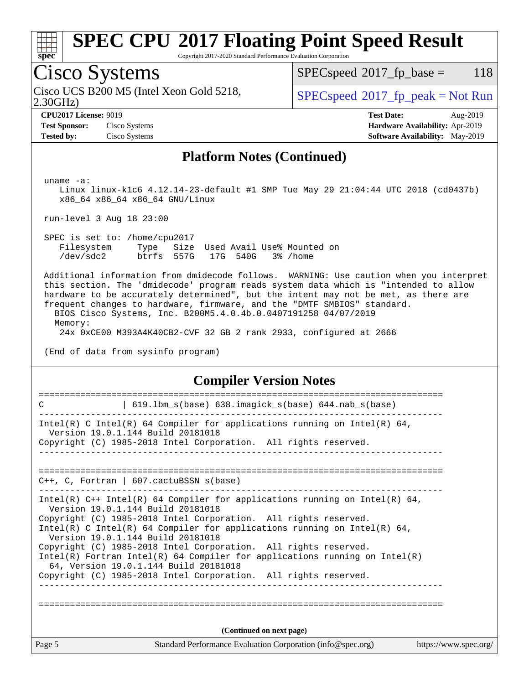

Copyright 2017-2020 Standard Performance Evaluation Corporation

## Cisco Systems

2.30GHz) Cisco UCS B200 M5 (Intel Xeon Gold 5218,  $SPECspeed^{\circ}2017\_fp\_peak = Not Run$  $SPECspeed^{\circ}2017\_fp\_peak = Not Run$ 

 $SPECspeed^{\circledcirc}2017_fp\_base = 118$  $SPECspeed^{\circledcirc}2017_fp\_base = 118$ 

**[CPU2017 License:](http://www.spec.org/auto/cpu2017/Docs/result-fields.html#CPU2017License)** 9019 **[Test Date:](http://www.spec.org/auto/cpu2017/Docs/result-fields.html#TestDate)** Aug-2019 **[Test Sponsor:](http://www.spec.org/auto/cpu2017/Docs/result-fields.html#TestSponsor)** Cisco Systems **[Hardware Availability:](http://www.spec.org/auto/cpu2017/Docs/result-fields.html#HardwareAvailability)** Apr-2019 **[Tested by:](http://www.spec.org/auto/cpu2017/Docs/result-fields.html#Testedby)** Cisco Systems **[Software Availability:](http://www.spec.org/auto/cpu2017/Docs/result-fields.html#SoftwareAvailability)** May-2019

#### **[Platform Notes \(Continued\)](http://www.spec.org/auto/cpu2017/Docs/result-fields.html#PlatformNotes)**

uname -a:

 Linux linux-k1c6 4.12.14-23-default #1 SMP Tue May 29 21:04:44 UTC 2018 (cd0437b) x86\_64 x86\_64 x86\_64 GNU/Linux

run-level 3 Aug 18 23:00

 SPEC is set to: /home/cpu2017 Filesystem Type Size Used Avail Use% Mounted on /dev/sdc2 btrfs 557G 17G 540G 3% /home

 Additional information from dmidecode follows. WARNING: Use caution when you interpret this section. The 'dmidecode' program reads system data which is "intended to allow hardware to be accurately determined", but the intent may not be met, as there are frequent changes to hardware, firmware, and the "DMTF SMBIOS" standard.

 BIOS Cisco Systems, Inc. B200M5.4.0.4b.0.0407191258 04/07/2019 Memory:

24x 0xCE00 M393A4K40CB2-CVF 32 GB 2 rank 2933, configured at 2666

(End of data from sysinfo program)

#### **[Compiler Version Notes](http://www.spec.org/auto/cpu2017/Docs/result-fields.html#CompilerVersionNotes)**

| Page 5 | Standard Performance Evaluation Corporation (info@spec.org)                                                       | https://www.spec.org/ |
|--------|-------------------------------------------------------------------------------------------------------------------|-----------------------|
|        | (Continued on next page)                                                                                          |                       |
|        |                                                                                                                   |                       |
|        | 64, Version 19.0.1.144 Build 20181018<br>Copyright (C) 1985-2018 Intel Corporation. All rights reserved.          |                       |
|        | Intel(R) Fortran Intel(R) 64 Compiler for applications running on $Intel(R)$                                      |                       |
|        | Version 19.0.1.144 Build 20181018<br>Copyright (C) 1985-2018 Intel Corporation. All rights reserved.              |                       |
|        | Intel(R) C Intel(R) 64 Compiler for applications running on Intel(R) 64,                                          |                       |
|        | Copyright (C) 1985-2018 Intel Corporation. All rights reserved.                                                   |                       |
|        | Intel(R) $C++$ Intel(R) 64 Compiler for applications running on Intel(R) 64,<br>Version 19.0.1.144 Build 20181018 |                       |
|        | $C_{++}$ , C, Fortran   607. cactuBSSN $s(base)$                                                                  |                       |
|        |                                                                                                                   |                       |
|        |                                                                                                                   |                       |
|        | Version 19.0.1.144 Build 20181018<br>Copyright (C) 1985-2018 Intel Corporation. All rights reserved.              |                       |
|        | Intel(R) C Intel(R) 64 Compiler for applications running on Intel(R) 64,                                          |                       |
| C      | 619.1bm_s(base) 638.imagick_s(base) 644.nab_s(base)                                                               |                       |
|        |                                                                                                                   |                       |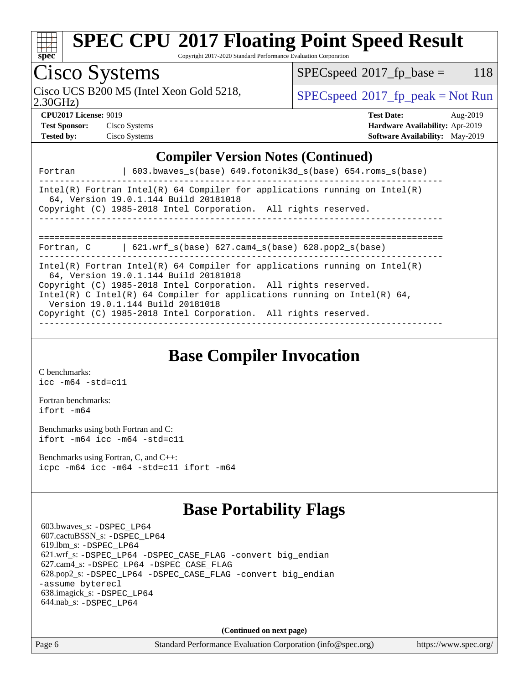

Copyright 2017-2020 Standard Performance Evaluation Corporation

## Cisco Systems

2.30GHz) Cisco UCS B200 M5 (Intel Xeon Gold 5218,  $\vert$  [SPECspeed](http://www.spec.org/auto/cpu2017/Docs/result-fields.html#SPECspeed2017fppeak)<sup>®</sup>[2017\\_fp\\_peak = N](http://www.spec.org/auto/cpu2017/Docs/result-fields.html#SPECspeed2017fppeak)ot Run

 $SPEC speed^{\circ}2017\_fp\_base = 118$ 

**[Test Sponsor:](http://www.spec.org/auto/cpu2017/Docs/result-fields.html#TestSponsor)** Cisco Systems **[Hardware Availability:](http://www.spec.org/auto/cpu2017/Docs/result-fields.html#HardwareAvailability)** Apr-2019 **[Tested by:](http://www.spec.org/auto/cpu2017/Docs/result-fields.html#Testedby)** Cisco Systems **[Software Availability:](http://www.spec.org/auto/cpu2017/Docs/result-fields.html#SoftwareAvailability)** May-2019

| <b>CPU2017 License: 9019</b> |                 | <b>Test Date:</b>                      | Aug-2019 |
|------------------------------|-----------------|----------------------------------------|----------|
| <b>Test Sponsor:</b>         | Cisco Systems   | <b>Hardware Availability: Apr-2019</b> |          |
| Tested by:                   | Cisco Systems - | <b>Software Availability:</b> May-2019 |          |

#### **[Compiler Version Notes \(Continued\)](http://www.spec.org/auto/cpu2017/Docs/result-fields.html#CompilerVersionNotes)**

| 603.bwaves $s(base)$ 649.fotonik3d $s(base)$ 654.roms $s(base)$<br>Fortran                                                                                                                                                                                                                                                                                                 |
|----------------------------------------------------------------------------------------------------------------------------------------------------------------------------------------------------------------------------------------------------------------------------------------------------------------------------------------------------------------------------|
| Intel(R) Fortran Intel(R) 64 Compiler for applications running on Intel(R)<br>64, Version 19.0.1.144 Build 20181018<br>Copyright (C) 1985-2018 Intel Corporation. All rights reserved.                                                                                                                                                                                     |
| 621.wrf $s(base)$ 627.cam4 $s(base)$ 628.pop2 $s(base)$<br>Fortran, C                                                                                                                                                                                                                                                                                                      |
| Intel(R) Fortran Intel(R) 64 Compiler for applications running on Intel(R)<br>64, Version 19.0.1.144 Build 20181018<br>Copyright (C) 1985-2018 Intel Corporation. All rights reserved.<br>Intel(R) C Intel(R) 64 Compiler for applications running on Intel(R) 64,<br>Version 19.0.1.144 Build 20181018<br>Copyright (C) 1985-2018 Intel Corporation. All rights reserved. |

### **[Base Compiler Invocation](http://www.spec.org/auto/cpu2017/Docs/result-fields.html#BaseCompilerInvocation)**

[C benchmarks](http://www.spec.org/auto/cpu2017/Docs/result-fields.html#Cbenchmarks): [icc -m64 -std=c11](http://www.spec.org/cpu2017/results/res2019q3/cpu2017-20190820-17216.flags.html#user_CCbase_intel_icc_64bit_c11_33ee0cdaae7deeeab2a9725423ba97205ce30f63b9926c2519791662299b76a0318f32ddfffdc46587804de3178b4f9328c46fa7c2b0cd779d7a61945c91cd35)

[Fortran benchmarks](http://www.spec.org/auto/cpu2017/Docs/result-fields.html#Fortranbenchmarks): [ifort -m64](http://www.spec.org/cpu2017/results/res2019q3/cpu2017-20190820-17216.flags.html#user_FCbase_intel_ifort_64bit_24f2bb282fbaeffd6157abe4f878425411749daecae9a33200eee2bee2fe76f3b89351d69a8130dd5949958ce389cf37ff59a95e7a40d588e8d3a57e0c3fd751)

[Benchmarks using both Fortran and C](http://www.spec.org/auto/cpu2017/Docs/result-fields.html#BenchmarksusingbothFortranandC): [ifort -m64](http://www.spec.org/cpu2017/results/res2019q3/cpu2017-20190820-17216.flags.html#user_CC_FCbase_intel_ifort_64bit_24f2bb282fbaeffd6157abe4f878425411749daecae9a33200eee2bee2fe76f3b89351d69a8130dd5949958ce389cf37ff59a95e7a40d588e8d3a57e0c3fd751) [icc -m64 -std=c11](http://www.spec.org/cpu2017/results/res2019q3/cpu2017-20190820-17216.flags.html#user_CC_FCbase_intel_icc_64bit_c11_33ee0cdaae7deeeab2a9725423ba97205ce30f63b9926c2519791662299b76a0318f32ddfffdc46587804de3178b4f9328c46fa7c2b0cd779d7a61945c91cd35)

[Benchmarks using Fortran, C, and C++:](http://www.spec.org/auto/cpu2017/Docs/result-fields.html#BenchmarksusingFortranCandCXX) [icpc -m64](http://www.spec.org/cpu2017/results/res2019q3/cpu2017-20190820-17216.flags.html#user_CC_CXX_FCbase_intel_icpc_64bit_4ecb2543ae3f1412ef961e0650ca070fec7b7afdcd6ed48761b84423119d1bf6bdf5cad15b44d48e7256388bc77273b966e5eb805aefd121eb22e9299b2ec9d9) [icc -m64 -std=c11](http://www.spec.org/cpu2017/results/res2019q3/cpu2017-20190820-17216.flags.html#user_CC_CXX_FCbase_intel_icc_64bit_c11_33ee0cdaae7deeeab2a9725423ba97205ce30f63b9926c2519791662299b76a0318f32ddfffdc46587804de3178b4f9328c46fa7c2b0cd779d7a61945c91cd35) [ifort -m64](http://www.spec.org/cpu2017/results/res2019q3/cpu2017-20190820-17216.flags.html#user_CC_CXX_FCbase_intel_ifort_64bit_24f2bb282fbaeffd6157abe4f878425411749daecae9a33200eee2bee2fe76f3b89351d69a8130dd5949958ce389cf37ff59a95e7a40d588e8d3a57e0c3fd751)

### **[Base Portability Flags](http://www.spec.org/auto/cpu2017/Docs/result-fields.html#BasePortabilityFlags)**

 603.bwaves\_s: [-DSPEC\\_LP64](http://www.spec.org/cpu2017/results/res2019q3/cpu2017-20190820-17216.flags.html#suite_basePORTABILITY603_bwaves_s_DSPEC_LP64) 607.cactuBSSN\_s: [-DSPEC\\_LP64](http://www.spec.org/cpu2017/results/res2019q3/cpu2017-20190820-17216.flags.html#suite_basePORTABILITY607_cactuBSSN_s_DSPEC_LP64) 619.lbm\_s: [-DSPEC\\_LP64](http://www.spec.org/cpu2017/results/res2019q3/cpu2017-20190820-17216.flags.html#suite_basePORTABILITY619_lbm_s_DSPEC_LP64) 621.wrf\_s: [-DSPEC\\_LP64](http://www.spec.org/cpu2017/results/res2019q3/cpu2017-20190820-17216.flags.html#suite_basePORTABILITY621_wrf_s_DSPEC_LP64) [-DSPEC\\_CASE\\_FLAG](http://www.spec.org/cpu2017/results/res2019q3/cpu2017-20190820-17216.flags.html#b621.wrf_s_baseCPORTABILITY_DSPEC_CASE_FLAG) [-convert big\\_endian](http://www.spec.org/cpu2017/results/res2019q3/cpu2017-20190820-17216.flags.html#user_baseFPORTABILITY621_wrf_s_convert_big_endian_c3194028bc08c63ac5d04de18c48ce6d347e4e562e8892b8bdbdc0214820426deb8554edfa529a3fb25a586e65a3d812c835984020483e7e73212c4d31a38223) 627.cam4\_s: [-DSPEC\\_LP64](http://www.spec.org/cpu2017/results/res2019q3/cpu2017-20190820-17216.flags.html#suite_basePORTABILITY627_cam4_s_DSPEC_LP64) [-DSPEC\\_CASE\\_FLAG](http://www.spec.org/cpu2017/results/res2019q3/cpu2017-20190820-17216.flags.html#b627.cam4_s_baseCPORTABILITY_DSPEC_CASE_FLAG) 628.pop2\_s: [-DSPEC\\_LP64](http://www.spec.org/cpu2017/results/res2019q3/cpu2017-20190820-17216.flags.html#suite_basePORTABILITY628_pop2_s_DSPEC_LP64) [-DSPEC\\_CASE\\_FLAG](http://www.spec.org/cpu2017/results/res2019q3/cpu2017-20190820-17216.flags.html#b628.pop2_s_baseCPORTABILITY_DSPEC_CASE_FLAG) [-convert big\\_endian](http://www.spec.org/cpu2017/results/res2019q3/cpu2017-20190820-17216.flags.html#user_baseFPORTABILITY628_pop2_s_convert_big_endian_c3194028bc08c63ac5d04de18c48ce6d347e4e562e8892b8bdbdc0214820426deb8554edfa529a3fb25a586e65a3d812c835984020483e7e73212c4d31a38223) [-assume byterecl](http://www.spec.org/cpu2017/results/res2019q3/cpu2017-20190820-17216.flags.html#user_baseFPORTABILITY628_pop2_s_assume_byterecl_7e47d18b9513cf18525430bbf0f2177aa9bf368bc7a059c09b2c06a34b53bd3447c950d3f8d6c70e3faf3a05c8557d66a5798b567902e8849adc142926523472) 638.imagick\_s: [-DSPEC\\_LP64](http://www.spec.org/cpu2017/results/res2019q3/cpu2017-20190820-17216.flags.html#suite_basePORTABILITY638_imagick_s_DSPEC_LP64) 644.nab\_s: [-DSPEC\\_LP64](http://www.spec.org/cpu2017/results/res2019q3/cpu2017-20190820-17216.flags.html#suite_basePORTABILITY644_nab_s_DSPEC_LP64)

**(Continued on next page)**

Page 6 Standard Performance Evaluation Corporation [\(info@spec.org\)](mailto:info@spec.org) <https://www.spec.org/>